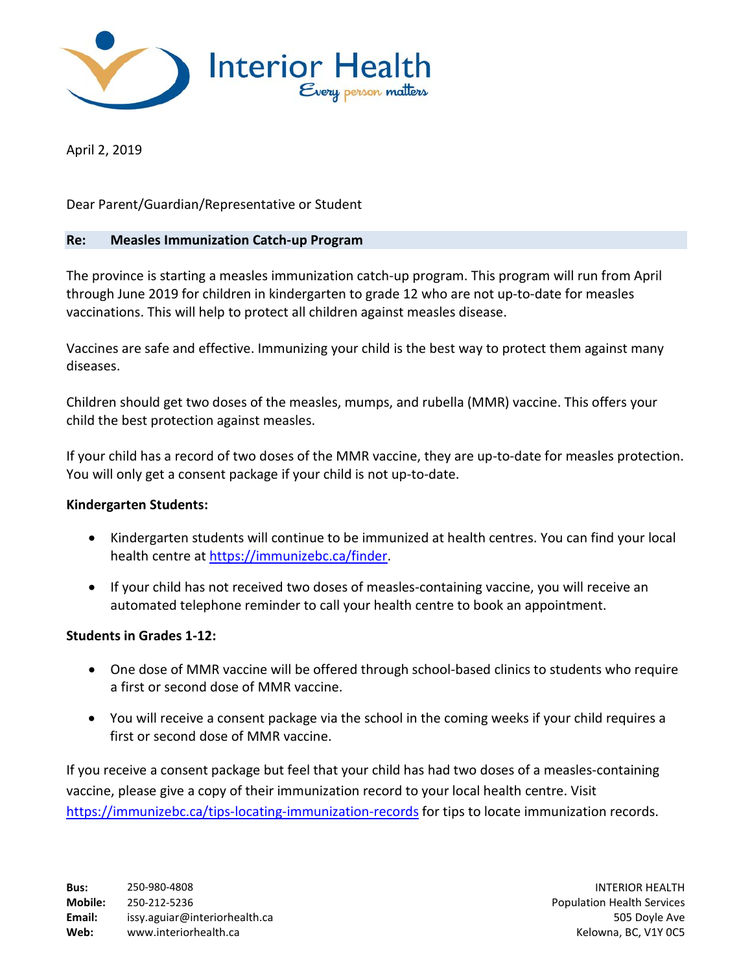

April 2, 2019

Dear Parent/Guardian/Representative or Student

## **Re: Measles Immunization Catch-up Program**

The province is starting a measles immunization catch-up program. This program will run from April through June 2019 for children in kindergarten to grade 12 who are not up-to-date for measles vaccinations. This will help to protect all children against measles disease.

Vaccines are safe and effective. Immunizing your child is the best way to protect them against many diseases.

Children should get two doses of the measles, mumps, and rubella (MMR) vaccine. This offers your child the best protection against measles.

If your child has a record of two doses of the MMR vaccine, they are up-to-date for measles protection. You will only get a consent package if your child is not up-to-date.

## **Kindergarten Students:**

- Kindergarten students will continue to be immunized at health centres. You can find your local health centre at [https://immunizebc.ca/finder.](https://immunizebc.ca/finder)
- If your child has not received two doses of measles-containing vaccine, you will receive an automated telephone reminder to call your health centre to book an appointment.

## **Students in Grades 1-12:**

- One dose of MMR vaccine will be offered through school-based clinics to students who require a first or second dose of MMR vaccine.
- You will receive a consent package via the school in the coming weeks if your child requires a first or second dose of MMR vaccine.

If you receive a consent package but feel that your child has had two doses of a measles-containing vaccine, please give a copy of their immunization record to your local health centre. Visit <https://immunizebc.ca/tips-locating-immunization-records> for tips to locate immunization records.